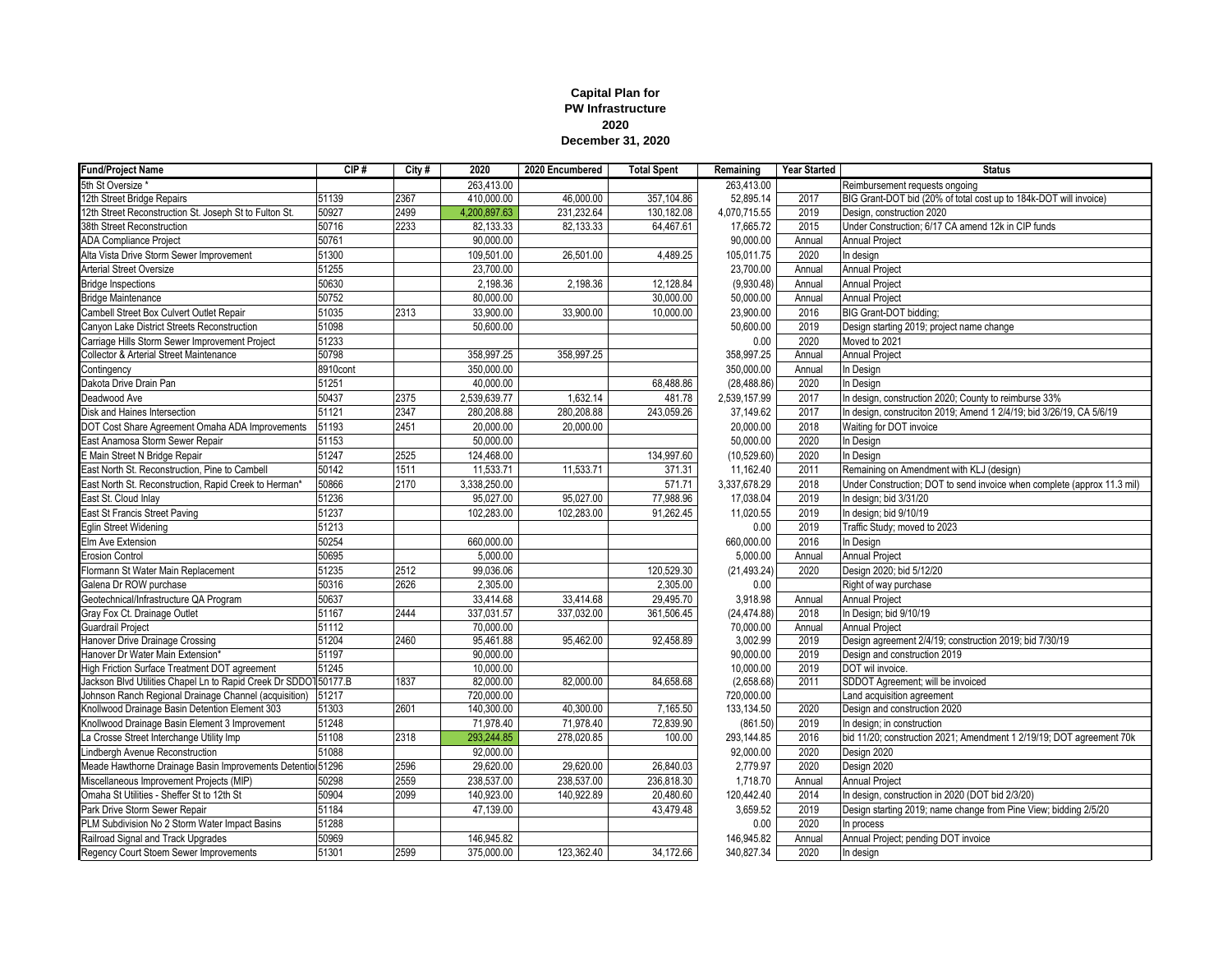## **Capital Plan for PW Infrastructure 2020 December 31, 2020**

| <b>Fund/Project Name</b>                                        | CIP#     | City # | 2020         | 2020 Encumbered | <b>Total Spent</b> | Remaining    | <b>Year Started</b> | <b>Status</b>                                                           |
|-----------------------------------------------------------------|----------|--------|--------------|-----------------|--------------------|--------------|---------------------|-------------------------------------------------------------------------|
| 5th St Oversize                                                 |          |        | 263,413.00   |                 |                    | 263,413.00   |                     | Reimbursement requests ongoing                                          |
| 12th Street Bridge Repairs                                      | 51139    | 2367   | 410.000.00   | 46,000.00       | 357.104.86         | 52,895.14    | 2017                | BIG Grant-DOT bid (20% of total cost up to 184k-DOT will invoice)       |
| 12th Street Reconstruction St. Joseph St to Fulton St.          | 50927    | 2499   | 4,200,897.63 | 231,232.64      | 130.182.08         | 4,070,715.55 | 2019                | Desian, construction 2020                                               |
| 38th Street Reconstruction                                      | 50716    | 2233   | 82,133.33    | 82,133.33       | 64,467.61          | 17,665.72    | 2015                | Under Construction; 6/17 CA amend 12k in CIP funds                      |
| <b>ADA Compliance Project</b>                                   | 50761    |        | 90,000.00    |                 |                    | 90,000.00    | Annual              | Annual Proiect                                                          |
| Alta Vista Drive Storm Sewer Improvement                        | 51300    |        | 109,501.00   | 26,501.00       | 4.489.25           | 105,011.75   | 2020                | In design                                                               |
| <b>Arterial Street Oversize</b>                                 | 51255    |        | 23,700.00    |                 |                    | 23,700.00    | Annual              | Annual Project                                                          |
| <b>Bridge Inspections</b>                                       | 50630    |        | 2,198.36     | 2,198.36        | 12,128.84          | (9,930.48)   | Annual              | Annual Project                                                          |
| <b>Bridge Maintenance</b>                                       | 50752    |        | 80,000.00    |                 | 30,000.00          | 50,000.00    | Annual              | Annual Project                                                          |
| Cambell Street Box Culvert Outlet Repair                        | 51035    | 2313   | 33,900.00    | 33,900.00       | 10,000.00          | 23,900.00    | 2016                | BIG Grant-DOT bidding;                                                  |
| Canyon Lake District Streets Reconstruction                     | 51098    |        | 50,600.00    |                 |                    | 50,600.00    | 2019                | Design starting 2019; project name change                               |
| Carriage Hills Storm Sewer Improvement Project                  | 51233    |        |              |                 |                    | 0.00         | 2020                | Moved to 2021                                                           |
| <b>Collector &amp; Arterial Street Maintenance</b>              | 50798    |        | 358,997.25   | 358,997.25      |                    | 358,997.25   | Annual              | Annual Project                                                          |
| Contingency                                                     | 8910cont |        | 350,000.00   |                 |                    | 350,000.00   | Annual              | In Design                                                               |
| Dakota Drive Drain Pan                                          | 51251    |        | 40,000.00    |                 | 68,488.86          | (28, 488.86) | 2020                | In Design                                                               |
| Deadwood Ave                                                    | 50437    | 2375   | 2,539,639.77 | 1,632.14        | 481.78             | 2,539,157.99 | 2017                | In design, construction 2020; County to reimburse 33%                   |
| Disk and Haines Intersection                                    | 51121    | 2347   | 280,208.88   | 280,208.88      | 243,059.26         | 37,149.62    | 2017                | In design, construciton 2019; Amend 1 2/4/19; bid 3/26/19, CA 5/6/19    |
| DOT Cost Share Agreement Omaha ADA Improvements                 | 51193    | 2451   | 20,000.00    | 20,000.00       |                    | 20,000.00    | 2018                | Waiting for DOT invoice                                                 |
| East Anamosa Storm Sewer Repair                                 | 51153    |        | 50,000.00    |                 |                    | 50,000.00    | 2020                | In Design                                                               |
| E Main Street N Bridge Repair                                   | 51247    | 2525   | 124,468.00   |                 | 134,997.60         | (10,529.60)  | 2020                | In Design                                                               |
| East North St. Reconstruction, Pine to Cambell                  | 50142    | 1511   | 11,533.71    | 11,533.71       | 371.31             | 11,162.40    | 2011                | Remaining on Amendment with KLJ (design)                                |
| East North St. Reconstruction, Rapid Creek to Herman*           | 50866    | 2170   | 3,338,250.00 |                 | 571.71             | 3,337,678.29 | 2018                | Under Construction; DOT to send invoice when complete (approx 11.3 mil) |
| East St. Cloud Inlay                                            | 51236    |        | 95,027.00    | 95,027.00       | 77,988.96          | 17,038.04    | 2019                | In design; bid 3/31/20                                                  |
| East St Francis Street Paving                                   | 51237    |        | 102.283.00   | 102.283.00      | 91.262.45          | 11.020.55    | 2019                | In design; bid 9/10/19                                                  |
| Eglin Street Widening                                           | 51213    |        |              |                 |                    | 0.00         | 2019                | Traffic Study; moved to 2023                                            |
| Elm Ave Extension                                               | 50254    |        | 660,000.00   |                 |                    | 660,000.00   | 2016                | In Design                                                               |
| <b>Erosion Control</b>                                          | 50695    |        | 5,000.00     |                 |                    | 5,000.00     | Annual              | Annual Project                                                          |
| Flormann St Water Main Replacement                              | 51235    | 2512   | 99.036.06    |                 | 120,529.30         | (21, 493.24) | 2020                | Design 2020; bid 5/12/20                                                |
| Galena Dr ROW purchase                                          | 50316    | 2626   | 2,305.00     |                 | 2,305.00           | 0.00         |                     | Right of way purchase                                                   |
| Geotechnical/Infrastructure QA Program                          | 50637    |        | 33,414.68    | 33.414.68       | 29.495.70          | 3,918.98     | Annual              | Annual Project                                                          |
| Gray Fox Ct. Drainage Outlet                                    | 51167    | 2444   | 337,031.57   | 337,032.00      | 361,506.45         | (24, 474.88) | 2018                | In Design; bid 9/10/19                                                  |
| <b>Guardrail Project</b>                                        | 51112    |        | 70.000.00    |                 |                    | 70,000.00    | Annual              | Annual Project                                                          |
| Hanover Drive Drainage Crossing                                 | 51204    | 2460   | 95,461.88    | 95,462.00       | 92,458.89          | 3,002.99     | 2019                | Design agreement 2/4/19; construction 2019; bid 7/30/19                 |
| Hanover Dr Water Main Extension*                                | 51197    |        | 90,000.00    |                 |                    | 90,000.00    | 2019                | Design and construction 2019                                            |
| High Friction Surface Treatment DOT agreement                   | 51245    |        | 10,000.00    |                 |                    | 10,000.00    | 2019                | DOT wil invoice.                                                        |
| Jackson Blvd Utilities Chapel Ln to Rapid Creek Dr SDDO150177.B |          | 1837   | 82,000.00    | 82,000.00       | 84,658.68          | (2,658.68)   | 2011                | SDDOT Agreement; will be invoiced                                       |
| Johnson Ranch Regional Drainage Channel (acquisition)           | 51217    |        | 720,000.00   |                 |                    | 720,000.00   |                     | Land acquisition agreement                                              |
| Knollwood Drainage Basin Detention Element 303                  | 51303    | 2601   | 140,300.00   | 40,300.00       | 7,165.50           | 133,134.50   | 2020                | Design and construction 2020                                            |
| Knollwood Drainage Basin Element 3 Improvement                  | 51248    |        | 71,978.40    | 71,978.40       | 72,839.90          | (861.50)     | 2019                | In design; in construction                                              |
| La Crosse Street Interchange Utility Imp                        | 51108    | 2318   | 293,244.85   | 278,020.85      | 100.00             | 293,144.85   | 2016                | bid 11/20; construction 2021; Amendment 1 2/19/19; DOT agreement 70k    |
| Lindbergh Avenue Reconstruction                                 | 51088    |        | 92,000.00    |                 |                    | 92,000.00    | 2020                | Design 2020                                                             |
| Meade Hawthorne Drainage Basin Improvements Detentiol 51296     |          | 2596   | 29,620.00    | 29,620.00       | 26,840.03          | 2,779.97     | 2020                | Design 2020                                                             |
| Miscellaneous Improvement Projects (MIP)                        | 50298    | 2559   | 238,537.00   | 238,537.00      | 236,818.30         | 1,718.70     | Annual              | Annual Project                                                          |
| Omaha St Utilities - Sheffer St to 12th St                      | 50904    | 2099   | 140,923.00   | 140,922.89      | 20,480.60          | 120,442.40   | 2014                | In design, construction in 2020 (DOT bid 2/3/20)                        |
| Park Drive Storm Sewer Repair                                   | 51184    |        | 47,139.00    |                 | 43,479.48          | 3,659.52     | 2019                | Design starting 2019; name change from Pine View; bidding 2/5/20        |
| PLM Subdivision No 2 Storm Water Impact Basins                  | 51288    |        |              |                 |                    | 0.00         | 2020                | In process                                                              |
| Railroad Signal and Track Upgrades                              | 50969    |        | 146,945.82   |                 |                    | 146,945.82   | Annual              | Annual Project; pending DOT invoice                                     |
| Regency Court Stoem Sewer Improvements                          | 51301    | 2599   | 375,000.00   | 123,362.40      | 34,172.66          | 340,827.34   | 2020                | In design                                                               |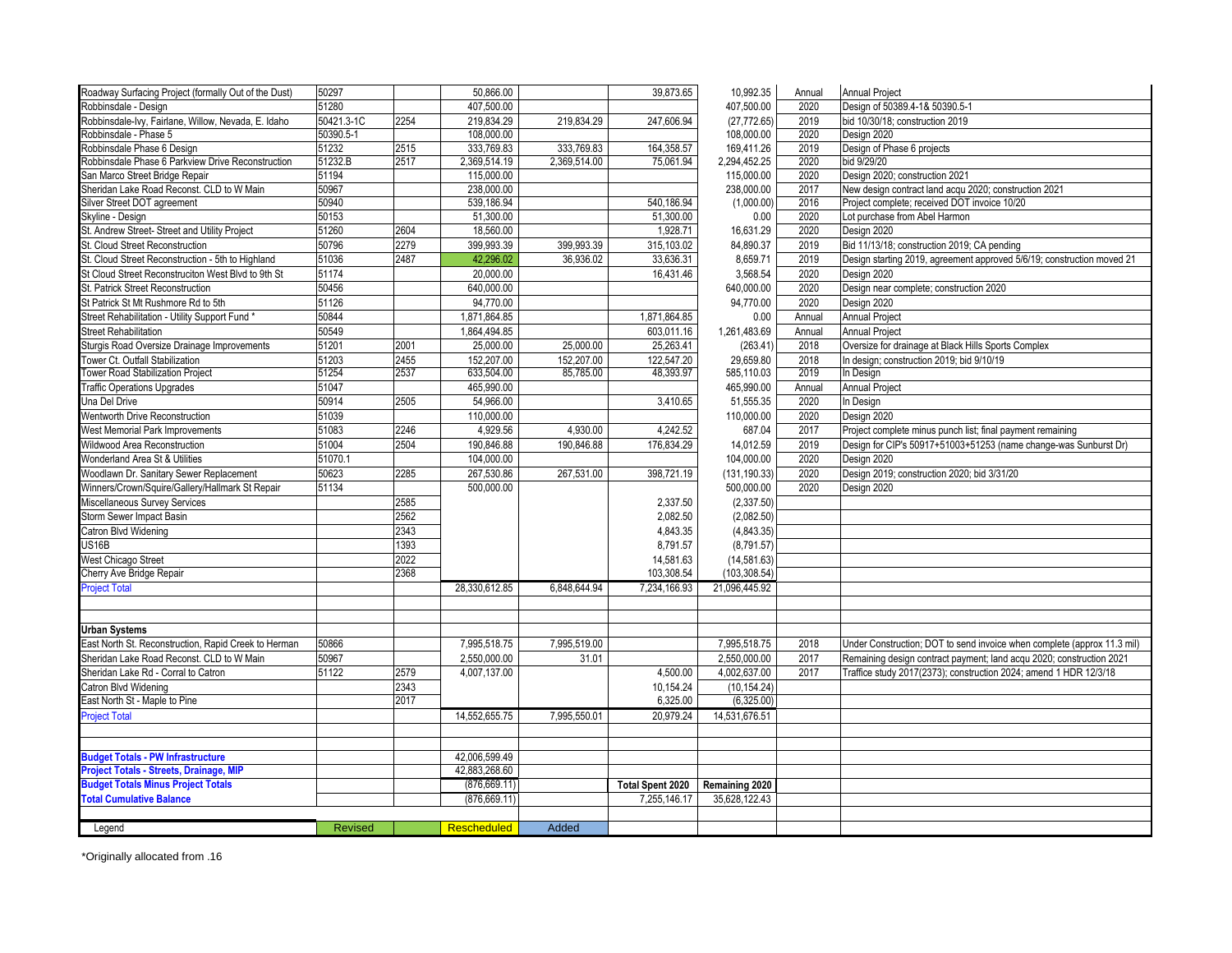| Roadway Surfacing Project (formally Out of the Dust) | 50297          |      | 50.866.00          |              | 39,873.65               | 10.992.35                     | Annual | <b>Annual Project</b>                                                   |
|------------------------------------------------------|----------------|------|--------------------|--------------|-------------------------|-------------------------------|--------|-------------------------------------------------------------------------|
| Robbinsdale - Design                                 | 51280          |      | 407,500.00         |              |                         | 407,500.00                    | 2020   | Design of 50389.4-1& 50390.5-1                                          |
| Robbinsdale-Ivy, Fairlane, Willow, Nevada, E. Idaho  | 50421.3-1C     | 2254 | 219,834.29         | 219,834.29   | 247,606.94              | (27, 772.65)                  | 2019   | bid 10/30/18: construction 2019                                         |
| Robbinsdale - Phase 5                                | 50390.5-1      |      | 108,000.00         |              |                         | 108,000.00                    | 2020   | Design 2020                                                             |
| Robbinsdale Phase 6 Design                           | 51232          | 2515 | 333,769.83         | 333,769.83   | 164,358.57              | 169,411.26                    | 2019   | Design of Phase 6 projects                                              |
| Robbinsdale Phase 6 Parkview Drive Reconstruction    | 51232.B        | 2517 | 2,369,514.19       | 2,369,514.00 | 75,061.94               | 2,294,452.25                  | 2020   | bid 9/29/20                                                             |
| San Marco Street Bridge Repair                       | 51194          |      | 115.000.00         |              |                         | 115.000.00                    | 2020   | Design 2020; construction 2021                                          |
| Sheridan Lake Road Reconst. CLD to W Main            | 50967          |      | 238,000.00         |              |                         | 238,000.00                    | 2017   | New design contract land acqu 2020; construction 2021                   |
| Silver Street DOT agreement                          | 50940          |      | 539,186.94         |              | 540,186.94              | (1,000.00)                    | 2016   | Project complete; received DOT invoice 10/20                            |
| Skyline - Design                                     | 50153          |      | 51,300.00          |              | 51,300.00               | 0.00                          | 2020   | Lot purchase from Abel Harmon                                           |
| St. Andrew Street- Street and Utility Project        | 51260          | 2604 | 18,560.00          |              | 1,928.71                | 16,631.29                     | 2020   | Design 2020                                                             |
| St. Cloud Street Reconstruction                      | 50796          | 2279 | 399,993.39         | 399,993.39   | 315,103.02              | 84,890.37                     | 2019   | Bid 11/13/18; construction 2019; CA pending                             |
| St. Cloud Street Reconstruction - 5th to Highland    | 51036          | 2487 | 42,296.02          | 36,936.02    | 33,636.31               | 8,659.71                      | 2019   | Design starting 2019, agreement approved 5/6/19; construction moved 21  |
| St Cloud Street Reconstruciton West Blvd to 9th St   | 51174          |      | 20,000.00          |              | 16,431.46               | 3,568.54                      | 2020   | Design 2020                                                             |
| St. Patrick Street Reconstruction                    | 50456          |      | 640,000.00         |              |                         | 640,000.00                    | 2020   | Design near complete; construction 2020                                 |
| St Patrick St Mt Rushmore Rd to 5th                  | 51126          |      | 94,770.00          |              |                         | 94,770.00                     | 2020   | Design 2020                                                             |
| Street Rehabilitation - Utility Support Fund *       | 50844          |      | 1,871,864.85       |              | 1,871,864.85            | 0.00                          | Annual | <b>Annual Project</b>                                                   |
| <b>Street Rehabilitation</b>                         | 50549          |      | 1,864,494.85       |              | 603,011.16              | 1,261,483.69                  | Annual | <b>Annual Project</b>                                                   |
| Sturgis Road Oversize Drainage Improvements          | 51201          | 2001 | 25,000.00          | 25,000.00    | 25,263.41               | (263.41)                      | 2018   | Oversize for drainage at Black Hills Sports Complex                     |
| Tower Ct. Outfall Stabilization                      | 51203          | 2455 | 152,207.00         | 152,207.00   | 122,547.20              | 29,659.80                     | 2018   | In design; construction 2019; bid 9/10/19                               |
| <b>Tower Road Stabilization Project</b>              | 51254          | 2537 | 633,504.00         | 85,785.00    | 48,393.97               | 585,110.03                    | 2019   | In Design                                                               |
| <b>Traffic Operations Upgrades</b>                   | 51047          |      | 465,990.00         |              |                         | 465,990.00                    | Annual | <b>Annual Project</b>                                                   |
| Jna Del Drive                                        | 50914          | 2505 | 54,966.00          |              | 3,410.65                | 51,555.35                     | 2020   | In Design                                                               |
| <b>Wentworth Drive Reconstruction</b>                | 51039          |      | 110,000.00         |              |                         | 110,000.00                    | 2020   | Design 2020                                                             |
| West Memorial Park Improvements                      | 51083          | 2246 | 4,929.56           | 4,930.00     | 4,242.52                | 687.04                        | 2017   | Project complete minus punch list; final payment remaining              |
| Wildwood Area Reconstruction                         | 51004          | 2504 | 190,846.88         | 190,846.88   | 176,834.29              | 14,012.59                     | 2019   | Design for CIP's 50917+51003+51253 (name change-was Sunburst Dr)        |
| Wonderland Area St & Utilities                       | 51070.1        |      | 104,000.00         |              |                         | 104,000.00                    | 2020   | Design 2020                                                             |
| Woodlawn Dr. Sanitary Sewer Replacement              | 50623          | 2285 | 267,530.86         | 267,531.00   | 398,721.19              | (131, 190.33)                 | 2020   | Design 2019; construction 2020; bid 3/31/20                             |
| Winners/Crown/Squire/Gallery/Hallmark St Repair      | 51134          |      | 500,000.00         |              |                         | 500,000.00                    | 2020   | Design 2020                                                             |
| Miscellaneous Survey Services                        |                | 2585 |                    |              | 2,337.50                | (2,337.50)                    |        |                                                                         |
| Storm Sewer Impact Basin                             |                | 2562 |                    |              | 2,082.50                | (2,082.50)                    |        |                                                                         |
| Catron Blvd Widening                                 |                | 2343 |                    |              | 4,843.35                | (4,843.35)                    |        |                                                                         |
| JS16B                                                |                | 1393 |                    |              | 8,791.57                | (8,791.57)                    |        |                                                                         |
|                                                      |                | 2022 |                    |              | 14,581.63               |                               |        |                                                                         |
| West Chicago Street<br>Cherry Ave Bridge Repair      |                | 2368 |                    |              | 103,308.54              | (14, 581.63)<br>(103, 308.54) |        |                                                                         |
| <b>Project Total</b>                                 |                |      |                    |              |                         | 21,096,445.92                 |        |                                                                         |
|                                                      |                |      | 28,330,612.85      | 6,848,644.94 | 7,234,166.93            |                               |        |                                                                         |
|                                                      |                |      |                    |              |                         |                               |        |                                                                         |
| <b>Urban Systems</b>                                 |                |      |                    |              |                         |                               |        |                                                                         |
| East North St. Reconstruction, Rapid Creek to Herman | 50866          |      | 7,995,518.75       | 7,995,519.00 |                         | 7,995,518.75                  | 2018   | Under Construction; DOT to send invoice when complete (approx 11.3 mil) |
| Sheridan Lake Road Reconst. CLD to W Main            | 50967          |      | 2,550,000.00       | 31.01        |                         | 2,550,000.00                  | 2017   | Remaining design contract payment; land acqu 2020; construction 2021    |
| Sheridan Lake Rd - Corral to Catron                  | 51122          | 2579 | 4,007,137.00       |              | 4,500.00                | 4,002,637.00                  | 2017   | Traffice study 2017(2373); construction 2024; amend 1 HDR 12/3/18       |
| Catron Blvd Widening                                 |                | 2343 |                    |              | 10,154.24               | (10, 154.24)                  |        |                                                                         |
| East North St - Maple to Pine                        |                | 2017 |                    |              | 6,325.00                | (6,325.00)                    |        |                                                                         |
| <b>Project Total</b>                                 |                |      | 14,552,655.75      | 7,995,550.01 | 20,979.24               | 14,531,676.51                 |        |                                                                         |
|                                                      |                |      |                    |              |                         |                               |        |                                                                         |
|                                                      |                |      |                    |              |                         |                               |        |                                                                         |
| <b>Budget Totals - PW Infrastructure</b>             |                |      | 42,006,599.49      |              |                         |                               |        |                                                                         |
| Project Totals - Streets, Drainage, MIP              |                |      | 42,883,268.60      |              |                         |                               |        |                                                                         |
| <b>Budget Totals Minus Project Totals</b>            |                |      | (876, 669.11)      |              | <b>Total Spent 2020</b> | Remaining 2020                |        |                                                                         |
| <b>Total Cumulative Balance</b>                      |                |      | (876, 669.11)      |              | 7,255,146.17            | 35,628,122.43                 |        |                                                                         |
|                                                      |                |      |                    |              |                         |                               |        |                                                                         |
| Legend                                               | <b>Revised</b> |      | <b>Rescheduled</b> | Added        |                         |                               |        |                                                                         |
|                                                      |                |      |                    |              |                         |                               |        |                                                                         |

\*Originally allocated from .16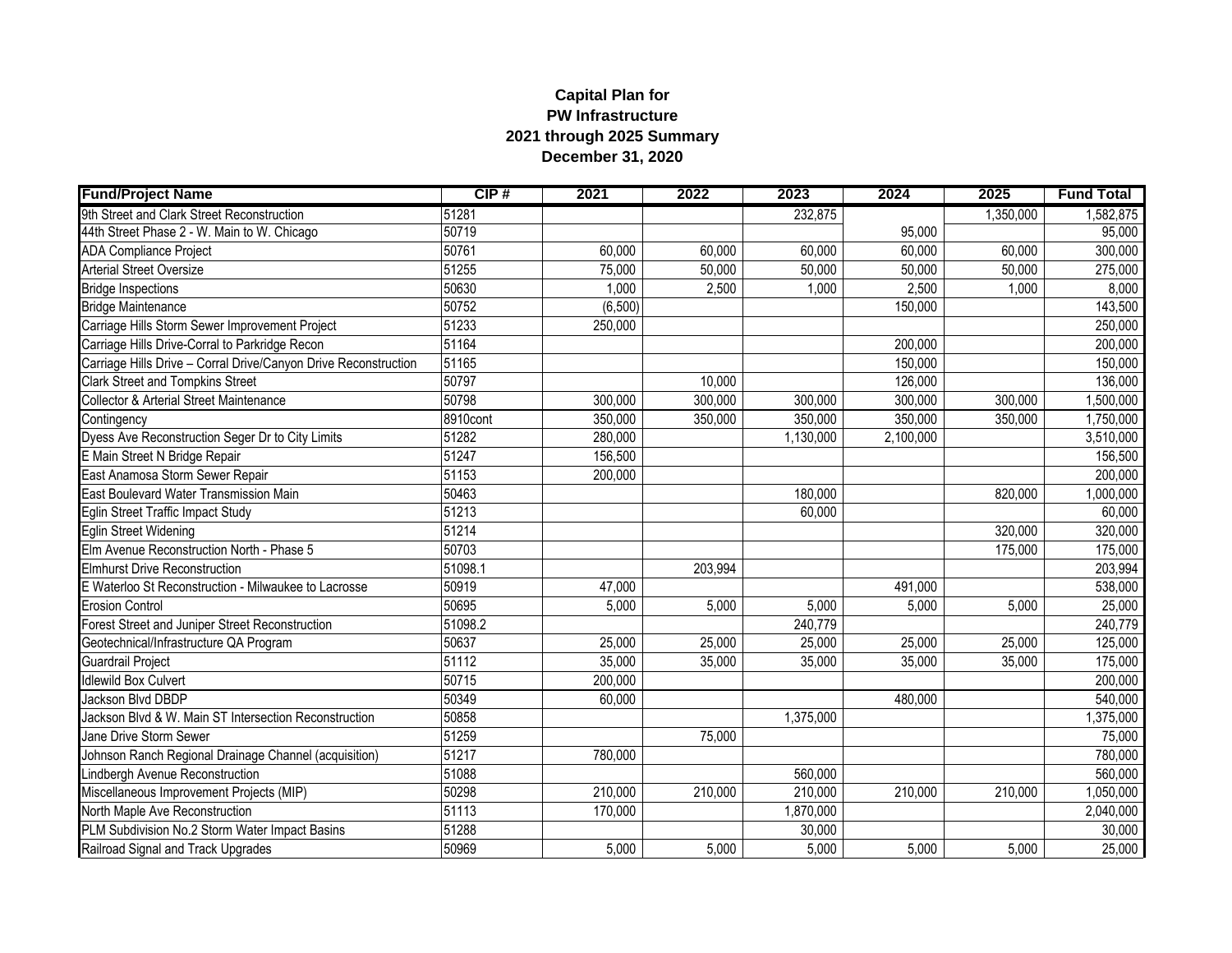## **Capital Plan for PW Infrastructure 2021 through 2025 Summary December 31, 2020**

| <b>Fund/Project Name</b>                                        | CIP#     | 2021     | 2022    | 2023      | 2024      | 2025      | <b>Fund Total</b> |
|-----------------------------------------------------------------|----------|----------|---------|-----------|-----------|-----------|-------------------|
| 9th Street and Clark Street Reconstruction                      | 51281    |          |         | 232,875   |           | 1,350,000 | 1,582,875         |
| 44th Street Phase 2 - W. Main to W. Chicago                     | 50719    |          |         |           | 95,000    |           | 95,000            |
| <b>ADA Compliance Project</b>                                   | 50761    | 60,000   | 60,000  | 60,000    | 60,000    | 60,000    | 300,000           |
| <b>Arterial Street Oversize</b>                                 | 51255    | 75,000   | 50,000  | 50,000    | 50,000    | 50,000    | 275,000           |
| <b>Bridge Inspections</b>                                       | 50630    | 1,000    | 2,500   | 1,000     | 2,500     | 1,000     | 8,000             |
| <b>Bridge Maintenance</b>                                       | 50752    | (6, 500) |         |           | 150,000   |           | 143,500           |
| Carriage Hills Storm Sewer Improvement Project                  | 51233    | 250,000  |         |           |           |           | 250,000           |
| Carriage Hills Drive-Corral to Parkridge Recon                  | 51164    |          |         |           | 200,000   |           | 200,000           |
| Carriage Hills Drive - Corral Drive/Canyon Drive Reconstruction | 51165    |          |         |           | 150,000   |           | 150,000           |
| <b>Clark Street and Tompkins Street</b>                         | 50797    |          | 10,000  |           | 126,000   |           | 136,000           |
| <b>Collector &amp; Arterial Street Maintenance</b>              | 50798    | 300,000  | 300,000 | 300,000   | 300,000   | 300,000   | 1,500,000         |
| Contingency                                                     | 8910cont | 350,000  | 350,000 | 350,000   | 350,000   | 350,000   | 1,750,000         |
| Dyess Ave Reconstruction Seger Dr to City Limits                | 51282    | 280,000  |         | 1,130,000 | 2,100,000 |           | 3,510,000         |
| E Main Street N Bridge Repair                                   | 51247    | 156,500  |         |           |           |           | 156,500           |
| East Anamosa Storm Sewer Repair                                 | 51153    | 200,000  |         |           |           |           | 200,000           |
| East Boulevard Water Transmission Main                          | 50463    |          |         | 180,000   |           | 820,000   | 1,000,000         |
| Eglin Street Traffic Impact Study                               | 51213    |          |         | 60,000    |           |           | 60,000            |
| Eglin Street Widening                                           | 51214    |          |         |           |           | 320,000   | 320,000           |
| Elm Avenue Reconstruction North - Phase 5                       | 50703    |          |         |           |           | 175,000   | 175,000           |
| Elmhurst Drive Reconstruction                                   | 51098.1  |          | 203,994 |           |           |           | 203,994           |
| E Waterloo St Reconstruction - Milwaukee to Lacrosse            | 50919    | 47,000   |         |           | 491,000   |           | 538,000           |
| <b>Erosion Control</b>                                          | 50695    | 5,000    | 5,000   | 5,000     | 5,000     | 5,000     | 25,000            |
| Forest Street and Juniper Street Reconstruction                 | 51098.2  |          |         | 240,779   |           |           | 240,779           |
| Geotechnical/Infrastructure QA Program                          | 50637    | 25,000   | 25,000  | 25,000    | 25,000    | 25,000    | 125,000           |
| Guardrail Project                                               | 51112    | 35,000   | 35,000  | 35,000    | 35,000    | 35,000    | 175,000           |
| <b>Idlewild Box Culvert</b>                                     | 50715    | 200,000  |         |           |           |           | 200,000           |
| Jackson Blvd DBDP                                               | 50349    | 60,000   |         |           | 480,000   |           | 540,000           |
| Jackson Blvd & W. Main ST Intersection Reconstruction           | 50858    |          |         | 1,375,000 |           |           | 1,375,000         |
| Jane Drive Storm Sewer                                          | 51259    |          | 75,000  |           |           |           | 75,000            |
| Johnson Ranch Regional Drainage Channel (acquisition)           | 51217    | 780,000  |         |           |           |           | 780,000           |
| indbergh Avenue Reconstruction                                  | 51088    |          |         | 560,000   |           |           | 560,000           |
| Miscellaneous Improvement Projects (MIP)                        | 50298    | 210,000  | 210,000 | 210,000   | 210,000   | 210,000   | 1,050,000         |
| <b>North Maple Ave Reconstruction</b>                           | 51113    | 170,000  |         | 1,870,000 |           |           | 2,040,000         |
| PLM Subdivision No.2 Storm Water Impact Basins                  | 51288    |          |         | 30,000    |           |           | 30,000            |
| Railroad Signal and Track Upgrades                              | 50969    | 5,000    | 5,000   | 5,000     | 5,000     | 5,000     | 25,000            |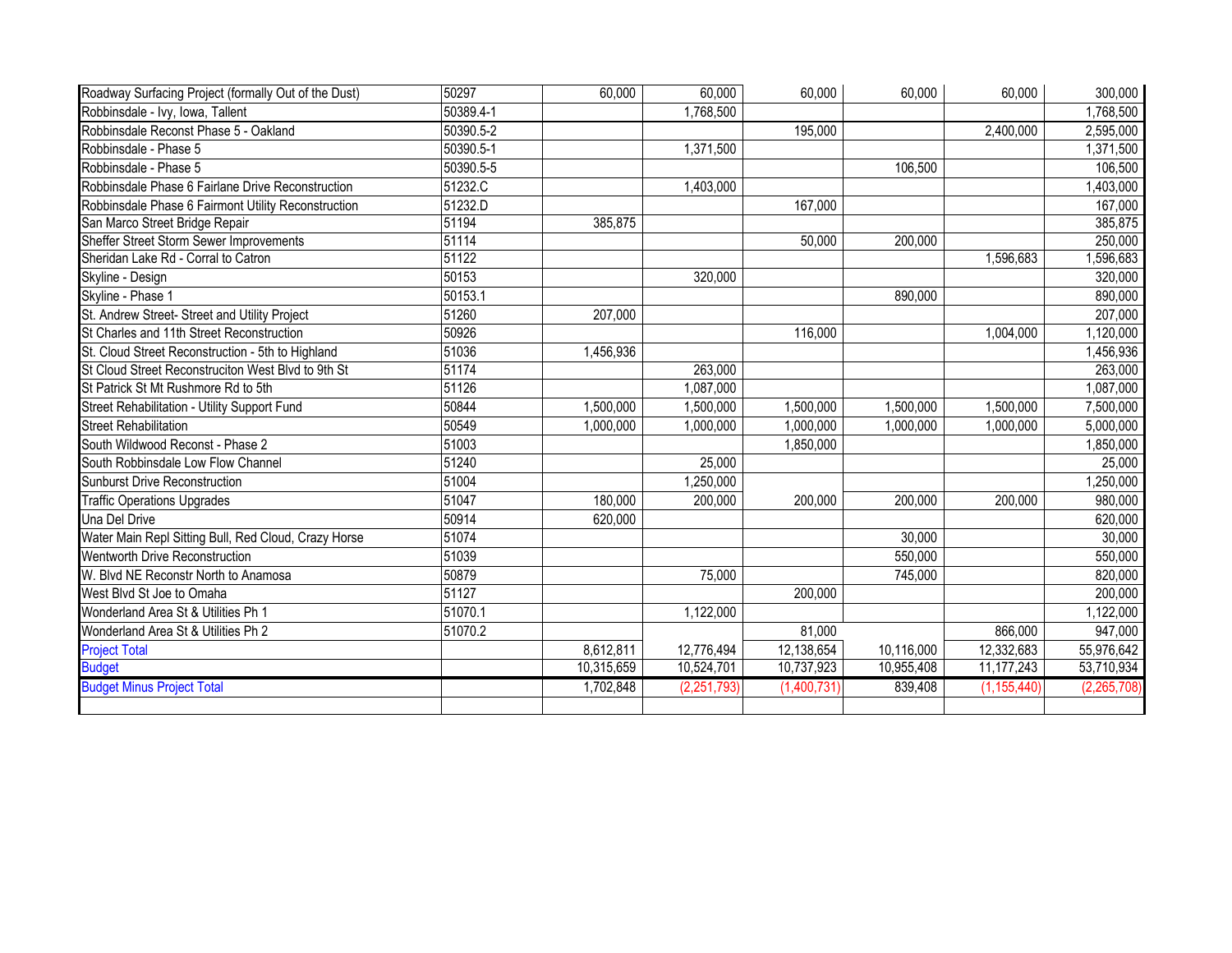| Roadway Surfacing Project (formally Out of the Dust) | 50297     | 60,000     | 60,000        | 60,000      | 60,000     | 60,000        | 300,000     |
|------------------------------------------------------|-----------|------------|---------------|-------------|------------|---------------|-------------|
| Robbinsdale - Ivy, Iowa, Tallent                     | 50389.4-1 |            | 1,768,500     |             |            |               | 1,768,500   |
| Robbinsdale Reconst Phase 5 - Oakland                | 50390.5-2 |            |               | 195,000     |            | 2,400,000     | 2,595,000   |
| Robbinsdale - Phase 5                                | 50390.5-1 |            | 1,371,500     |             |            |               | 1,371,500   |
| Robbinsdale - Phase 5                                | 50390.5-5 |            |               |             | 106,500    |               | 106,500     |
| Robbinsdale Phase 6 Fairlane Drive Reconstruction    | 51232.C   |            | 1,403,000     |             |            |               | 1,403,000   |
| Robbinsdale Phase 6 Fairmont Utility Reconstruction  | 51232.D   |            |               | 167,000     |            |               | 167,000     |
| San Marco Street Bridge Repair                       | 51194     | 385,875    |               |             |            |               | 385,875     |
| Sheffer Street Storm Sewer Improvements              | 51114     |            |               | 50,000      | 200,000    |               | 250,000     |
| Sheridan Lake Rd - Corral to Catron                  | 51122     |            |               |             |            | 1,596,683     | 1,596,683   |
| Skyline - Design                                     | 50153     |            | 320,000       |             |            |               | 320,000     |
| Skyline - Phase 1                                    | 50153.1   |            |               |             | 890,000    |               | 890,000     |
| St. Andrew Street- Street and Utility Project        | 51260     | 207,000    |               |             |            |               | 207,000     |
| St Charles and 11th Street Reconstruction            | 50926     |            |               | 116,000     |            | 1,004,000     | 1,120,000   |
| St. Cloud Street Reconstruction - 5th to Highland    | 51036     | 1,456,936  |               |             |            |               | 1,456,936   |
| St Cloud Street Reconstruciton West Blvd to 9th St   | 51174     |            | 263,000       |             |            |               | 263,000     |
| St Patrick St Mt Rushmore Rd to 5th                  | 51126     |            | 1,087,000     |             |            |               | 1,087,000   |
| Street Rehabilitation - Utility Support Fund         | 50844     | 1,500,000  | 1,500,000     | 1,500,000   | 1,500,000  | 1,500,000     | 7,500,000   |
| <b>Street Rehabilitation</b>                         | 50549     | 1,000,000  | 1,000,000     | 1,000,000   | 1,000,000  | 1,000,000     | 5,000,000   |
| South Wildwood Reconst - Phase 2                     | 51003     |            |               | 1,850,000   |            |               | 1,850,000   |
| South Robbinsdale Low Flow Channel                   | 51240     |            | 25,000        |             |            |               | 25,000      |
| <b>Sunburst Drive Reconstruction</b>                 | 51004     |            | 1,250,000     |             |            |               | 1,250,000   |
| <b>Traffic Operations Upgrades</b>                   | 51047     | 180,000    | 200,000       | 200,000     | 200,000    | 200,000       | 980,000     |
| <b>Una Del Drive</b>                                 | 50914     | 620,000    |               |             |            |               | 620,000     |
| Water Main Repl Sitting Bull, Red Cloud, Crazy Horse | 51074     |            |               |             | 30,000     |               | 30,000      |
| <b>Wentworth Drive Reconstruction</b>                | 51039     |            |               |             | 550,000    |               | 550,000     |
| W. Blvd NE Reconstr North to Anamosa                 | 50879     |            | 75,000        |             | 745,000    |               | 820,000     |
| West Blvd St Joe to Omaha                            | 51127     |            |               | 200,000     |            |               | 200,000     |
| Wonderland Area St & Utilities Ph 1                  | 51070.1   |            | 1,122,000     |             |            |               | 1,122,000   |
| Wonderland Area St & Utilities Ph 2                  | 51070.2   |            |               | 81,000      |            | 866,000       | 947,000     |
| <b>Project Total</b>                                 |           | 8,612,811  | 12,776,494    | 12,138,654  | 10,116,000 | 12,332,683    | 55,976,642  |
| <b>Budget</b>                                        |           | 10,315,659 | 10,524,701    | 10,737,923  | 10,955,408 | 11, 177, 243  | 53,710,934  |
| <b>Budget Minus Project Total</b>                    |           | 1,702,848  | (2, 251, 793) | (1,400,731) | 839,408    | (1, 155, 440) | (2,265,708) |
|                                                      |           |            |               |             |            |               |             |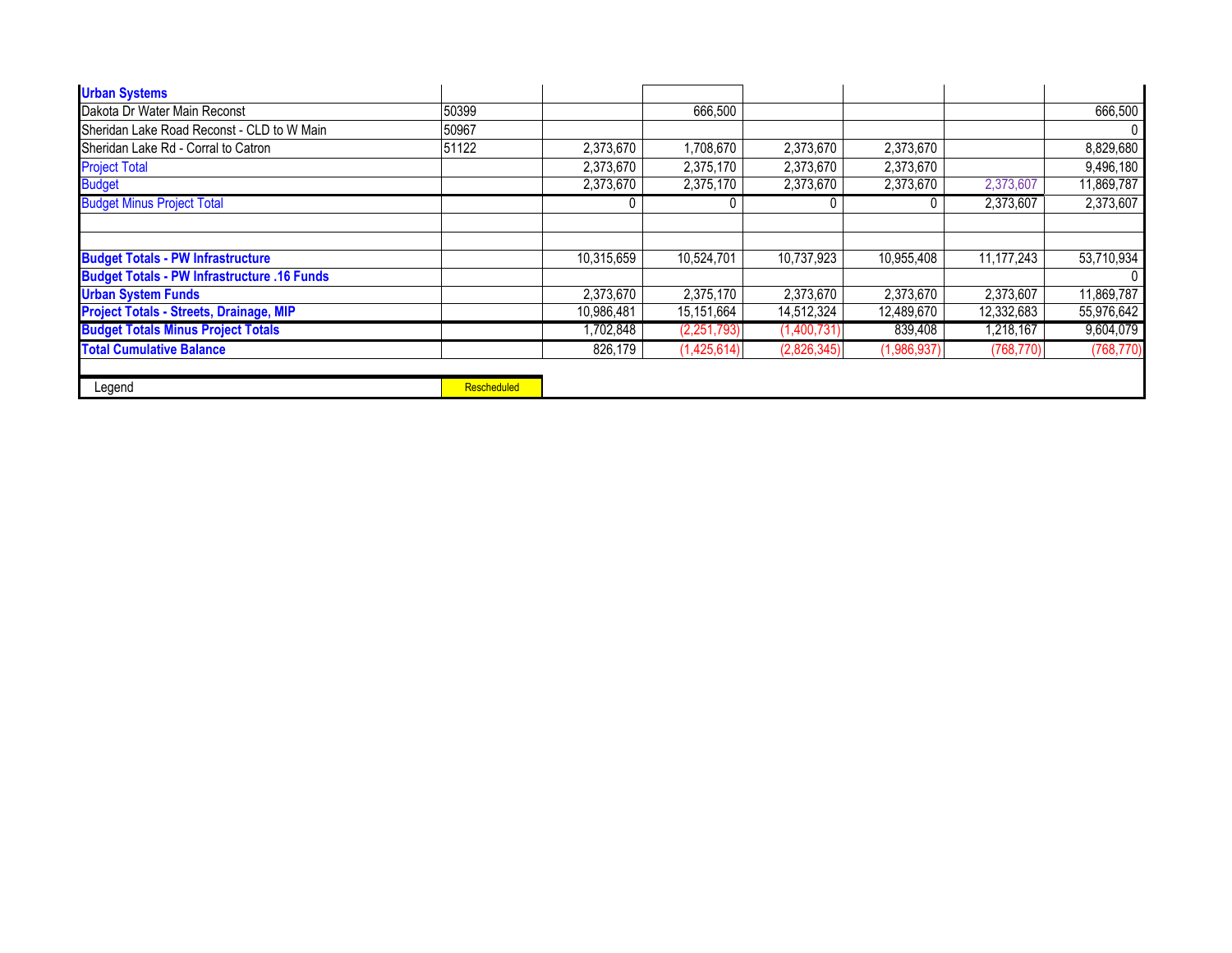| <b>Urban Systems</b>                               |                    |            |             |             |             |            |            |
|----------------------------------------------------|--------------------|------------|-------------|-------------|-------------|------------|------------|
| Dakota Dr Water Main Reconst                       | 50399              |            | 666,500     |             |             |            | 666,500    |
| Sheridan Lake Road Reconst - CLD to W Main         | 50967              |            |             |             |             |            | $\Omega$   |
| Sheridan Lake Rd - Corral to Catron                | 51122              | 2,373,670  | 1,708,670   | 2,373,670   | 2,373,670   |            | 8,829,680  |
| <b>Project Total</b>                               |                    | 2,373,670  | 2,375,170   | 2,373,670   | 2,373,670   |            | 9,496,180  |
| <b>Budget</b>                                      |                    | 2,373,670  | 2,375,170   | 2,373,670   | 2,373,670   | 2,373,607  | 11,869,787 |
| <b>Budget Minus Project Total</b>                  |                    |            |             |             |             | 2,373,607  | 2,373,607  |
|                                                    |                    |            |             |             |             |            |            |
|                                                    |                    |            |             |             |             |            |            |
| <b>Budget Totals - PW Infrastructure</b>           |                    | 10,315,659 | 10,524,701  | 10,737,923  | 10,955,408  | 11,177,243 | 53,710,934 |
| <b>Budget Totals - PW Infrastructure .16 Funds</b> |                    |            |             |             |             |            |            |
| <b>Urban System Funds</b>                          |                    | 2,373,670  | 2,375,170   | 2,373,670   | 2,373,670   | 2,373,607  | 11,869,787 |
| <b>Project Totals - Streets, Drainage, MIP</b>     |                    | 10,986,481 | 15,151,664  | 14,512,324  | 12,489,670  | 12,332,683 | 55,976,642 |
| <b>Budget Totals Minus Project Totals</b>          |                    | 1,702,848  | (2,251,793) | (1,400,731) | 839,408     | 1,218,167  | 9,604,079  |
| <b>Total Cumulative Balance</b>                    |                    | 826.179    | (1,425,614) | (2,826,345) | (1,986,937) | (768, 770) | (768, 770) |
|                                                    |                    |            |             |             |             |            |            |
| Legend                                             | <b>Rescheduled</b> |            |             |             |             |            |            |